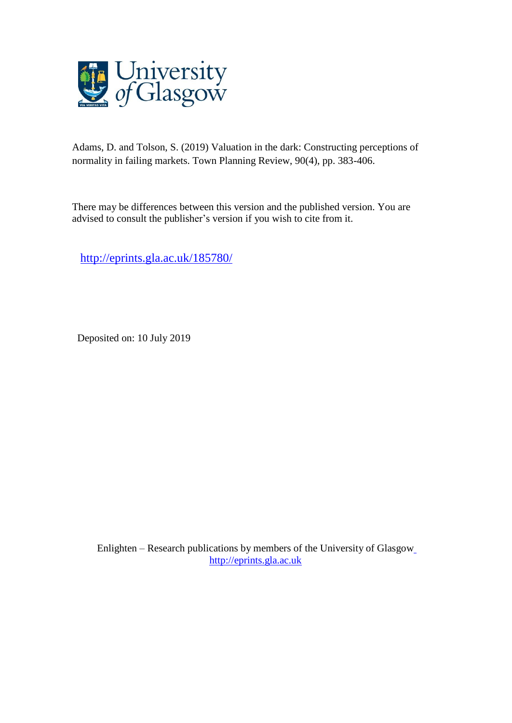

Adams, D. and Tolson, S. (2019) Valuation in the dark: Constructing perceptions of normality in failing markets. Town Planning Review, 90(4), pp. 383-406.

There may be differences between this version and the published version. You are advised to consult the publisher's version if you wish to cite from it.

<http://eprints.gla.ac.uk/185780/>

Deposited on: 10 July 2019

Enlighten – Research publications by members of the University of Glasgo[w](http://eprints.gla.ac.uk/) [http://eprints.gla.ac.uk](http://eprints.gla.ac.uk/)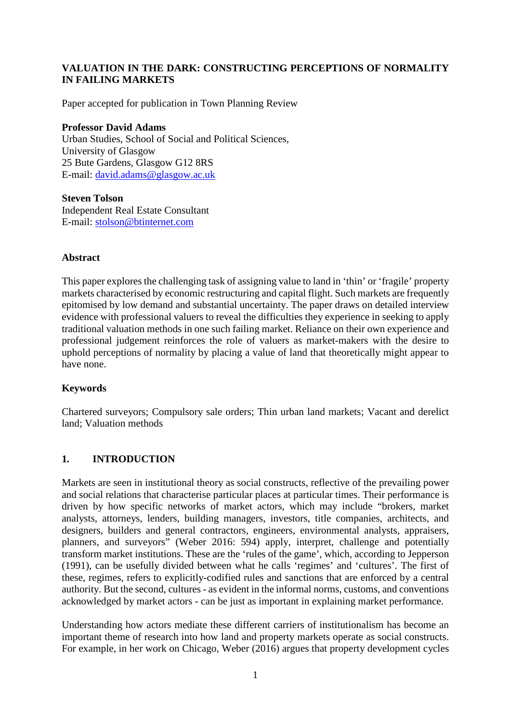# **VALUATION IN THE DARK: CONSTRUCTING PERCEPTIONS OF NORMALITY IN FAILING MARKETS**

Paper accepted for publication in Town Planning Review

#### **Professor David Adams**

Urban Studies, School of Social and Political Sciences, University of Glasgow 25 Bute Gardens, Glasgow G12 8RS E-mail: [david.adams@glasgow.ac.uk](mailto:david.adams@glasgow.ac.uk)

**Steven Tolson**  Independent Real Estate Consultant E-mail: [stolson@btinternet.com](mailto:stolson@btinternet.com)

### **Abstract**

This paper explores the challenging task of assigning value to land in 'thin' or 'fragile' property markets characterised by economic restructuring and capital flight. Such markets are frequently epitomised by low demand and substantial uncertainty. The paper draws on detailed interview evidence with professional valuers to reveal the difficulties they experience in seeking to apply traditional valuation methods in one such failing market. Reliance on their own experience and professional judgement reinforces the role of valuers as market-makers with the desire to uphold perceptions of normality by placing a value of land that theoretically might appear to have none.

# **Keywords**

Chartered surveyors; Compulsory sale orders; Thin urban land markets; Vacant and derelict land; Valuation methods

# **1. INTRODUCTION**

Markets are seen in institutional theory as social constructs, reflective of the prevailing power and social relations that characterise particular places at particular times. Their performance is driven by how specific networks of market actors, which may include "brokers, market analysts, attorneys, lenders, building managers, investors, title companies, architects, and designers, builders and general contractors, engineers, environmental analysts, appraisers, planners, and surveyors" (Weber 2016: 594) apply, interpret, challenge and potentially transform market institutions. These are the 'rules of the game', which, according to Jepperson (1991), can be usefully divided between what he calls 'regimes' and 'cultures'. The first of these, regimes, refers to explicitly-codified rules and sanctions that are enforced by a central authority. But the second, cultures - as evident in the informal norms, customs, and conventions acknowledged by market actors - can be just as important in explaining market performance.

Understanding how actors mediate these different carriers of institutionalism has become an important theme of research into how land and property markets operate as social constructs. For example, in her work on Chicago, Weber (2016) argues that property development cycles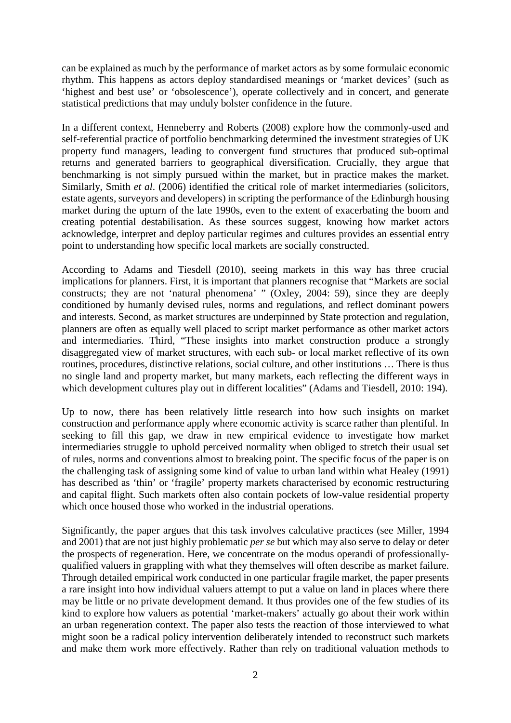can be explained as much by the performance of market actors as by some formulaic economic rhythm. This happens as actors deploy standardised meanings or 'market devices' (such as 'highest and best use' or 'obsolescence'), operate collectively and in concert, and generate statistical predictions that may unduly bolster confidence in the future.

In a different context, Henneberry and Roberts (2008) explore how the commonly-used and self-referential practice of portfolio benchmarking determined the investment strategies of UK property fund managers, leading to convergent fund structures that produced sub-optimal returns and generated barriers to geographical diversification. Crucially, they argue that benchmarking is not simply pursued within the market, but in practice makes the market. Similarly, Smith *et al*. (2006) identified the critical role of market intermediaries (solicitors, estate agents, surveyors and developers) in scripting the performance of the Edinburgh housing market during the upturn of the late 1990s, even to the extent of exacerbating the boom and creating potential destabilisation. As these sources suggest, knowing how market actors acknowledge, interpret and deploy particular regimes and cultures provides an essential entry point to understanding how specific local markets are socially constructed.

According to Adams and Tiesdell (2010), seeing markets in this way has three crucial implications for planners. First, it is important that planners recognise that "Markets are social constructs; they are not 'natural phenomena' " (Oxley, 2004: 59), since they are deeply conditioned by humanly devised rules, norms and regulations, and reflect dominant powers and interests. Second, as market structures are underpinned by State protection and regulation, planners are often as equally well placed to script market performance as other market actors and intermediaries. Third, "These insights into market construction produce a strongly disaggregated view of market structures, with each sub- or local market reflective of its own routines, procedures, distinctive relations, social culture, and other institutions … There is thus no single land and property market, but many markets, each reflecting the different ways in which development cultures play out in different localities" (Adams and Tiesdell, 2010: 194).

Up to now, there has been relatively little research into how such insights on market construction and performance apply where economic activity is scarce rather than plentiful. In seeking to fill this gap, we draw in new empirical evidence to investigate how market intermediaries struggle to uphold perceived normality when obliged to stretch their usual set of rules, norms and conventions almost to breaking point. The specific focus of the paper is on the challenging task of assigning some kind of value to urban land within what Healey (1991) has described as 'thin' or 'fragile' property markets characterised by economic restructuring and capital flight. Such markets often also contain pockets of low-value residential property which once housed those who worked in the industrial operations.

Significantly, the paper argues that this task involves calculative practices (see Miller, 1994 and 2001) that are not just highly problematic *per se* but which may also serve to delay or deter the prospects of regeneration. Here, we concentrate on the modus operandi of professionallyqualified valuers in grappling with what they themselves will often describe as market failure. Through detailed empirical work conducted in one particular fragile market, the paper presents a rare insight into how individual valuers attempt to put a value on land in places where there may be little or no private development demand. It thus provides one of the few studies of its kind to explore how valuers as potential 'market-makers' actually go about their work within an urban regeneration context. The paper also tests the reaction of those interviewed to what might soon be a radical policy intervention deliberately intended to reconstruct such markets and make them work more effectively. Rather than rely on traditional valuation methods to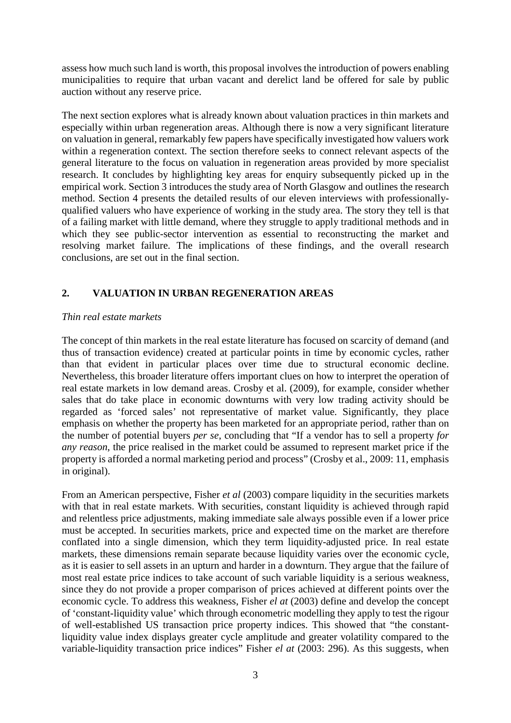assess how much such land is worth, this proposal involves the introduction of powers enabling municipalities to require that urban vacant and derelict land be offered for sale by public auction without any reserve price.

The next section explores what is already known about valuation practices in thin markets and especially within urban regeneration areas. Although there is now a very significant literature on valuation in general, remarkably few papers have specifically investigated how valuers work within a regeneration context. The section therefore seeks to connect relevant aspects of the general literature to the focus on valuation in regeneration areas provided by more specialist research. It concludes by highlighting key areas for enquiry subsequently picked up in the empirical work. Section 3 introduces the study area of North Glasgow and outlines the research method. Section 4 presents the detailed results of our eleven interviews with professionallyqualified valuers who have experience of working in the study area. The story they tell is that of a failing market with little demand, where they struggle to apply traditional methods and in which they see public-sector intervention as essential to reconstructing the market and resolving market failure. The implications of these findings, and the overall research conclusions, are set out in the final section.

# **2. VALUATION IN URBAN REGENERATION AREAS**

#### *Thin real estate markets*

The concept of thin markets in the real estate literature has focused on scarcity of demand (and thus of transaction evidence) created at particular points in time by economic cycles, rather than that evident in particular places over time due to structural economic decline. Nevertheless, this broader literature offers important clues on how to interpret the operation of real estate markets in low demand areas. Crosby et al. (2009), for example, consider whether sales that do take place in economic downturns with very low trading activity should be regarded as 'forced sales' not representative of market value. Significantly, they place emphasis on whether the property has been marketed for an appropriate period, rather than on the number of potential buyers *per se*, concluding that "If a vendor has to sell a property *for any reason*, the price realised in the market could be assumed to represent market price if the property is afforded a normal marketing period and process" (Crosby et al., 2009: 11, emphasis in original).

From an American perspective, Fisher *et al* (2003) compare liquidity in the securities markets with that in real estate markets. With securities, constant liquidity is achieved through rapid and relentless price adjustments, making immediate sale always possible even if a lower price must be accepted. In securities markets, price and expected time on the market are therefore conflated into a single dimension, which they term liquidity-adjusted price. In real estate markets, these dimensions remain separate because liquidity varies over the economic cycle, as it is easier to sell assets in an upturn and harder in a downturn. They argue that the failure of most real estate price indices to take account of such variable liquidity is a serious weakness, since they do not provide a proper comparison of prices achieved at different points over the economic cycle. To address this weakness, Fisher *el at* (2003) define and develop the concept of 'constant-liquidity value' which through econometric modelling they apply to test the rigour of well-established US transaction price property indices. This showed that "the constantliquidity value index displays greater cycle amplitude and greater volatility compared to the variable-liquidity transaction price indices" Fisher *el at* (2003: 296). As this suggests, when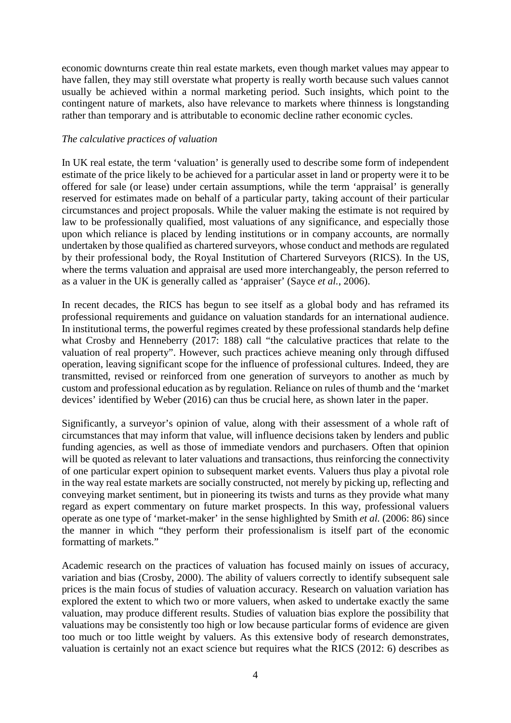economic downturns create thin real estate markets, even though market values may appear to have fallen, they may still overstate what property is really worth because such values cannot usually be achieved within a normal marketing period. Such insights, which point to the contingent nature of markets, also have relevance to markets where thinness is longstanding rather than temporary and is attributable to economic decline rather economic cycles.

### *The calculative practices of valuation*

In UK real estate, the term 'valuation' is generally used to describe some form of independent estimate of the price likely to be achieved for a particular asset in land or property were it to be offered for sale (or lease) under certain assumptions, while the term 'appraisal' is generally reserved for estimates made on behalf of a particular party, taking account of their particular circumstances and project proposals. While the valuer making the estimate is not required by law to be professionally qualified, most valuations of any significance, and especially those upon which reliance is placed by lending institutions or in company accounts, are normally undertaken by those qualified as chartered surveyors, whose conduct and methods are regulated by their professional body, the Royal Institution of Chartered Surveyors (RICS). In the US, where the terms valuation and appraisal are used more interchangeably, the person referred to as a valuer in the UK is generally called as 'appraiser' (Sayce *et al.*, 2006).

In recent decades, the RICS has begun to see itself as a global body and has reframed its professional requirements and guidance on valuation standards for an international audience. In institutional terms, the powerful regimes created by these professional standards help define what Crosby and Henneberry (2017: 188) call "the calculative practices that relate to the valuation of real property". However, such practices achieve meaning only through diffused operation, leaving significant scope for the influence of professional cultures. Indeed, they are transmitted, revised or reinforced from one generation of surveyors to another as much by custom and professional education as by regulation. Reliance on rules of thumb and the 'market devices' identified by Weber (2016) can thus be crucial here, as shown later in the paper.

Significantly, a surveyor's opinion of value, along with their assessment of a whole raft of circumstances that may inform that value, will influence decisions taken by lenders and public funding agencies, as well as those of immediate vendors and purchasers. Often that opinion will be quoted as relevant to later valuations and transactions, thus reinforcing the connectivity of one particular expert opinion to subsequent market events. Valuers thus play a pivotal role in the way real estate markets are socially constructed, not merely by picking up, reflecting and conveying market sentiment, but in pioneering its twists and turns as they provide what many regard as expert commentary on future market prospects. In this way, professional valuers operate as one type of 'market-maker' in the sense highlighted by Smith *et al.* (2006: 86) since the manner in which "they perform their professionalism is itself part of the economic formatting of markets."

Academic research on the practices of valuation has focused mainly on issues of accuracy, variation and bias (Crosby, 2000). The ability of valuers correctly to identify subsequent sale prices is the main focus of studies of valuation accuracy. Research on valuation variation has explored the extent to which two or more valuers, when asked to undertake exactly the same valuation, may produce different results. Studies of valuation bias explore the possibility that valuations may be consistently too high or low because particular forms of evidence are given too much or too little weight by valuers. As this extensive body of research demonstrates, valuation is certainly not an exact science but requires what the RICS (2012: 6) describes as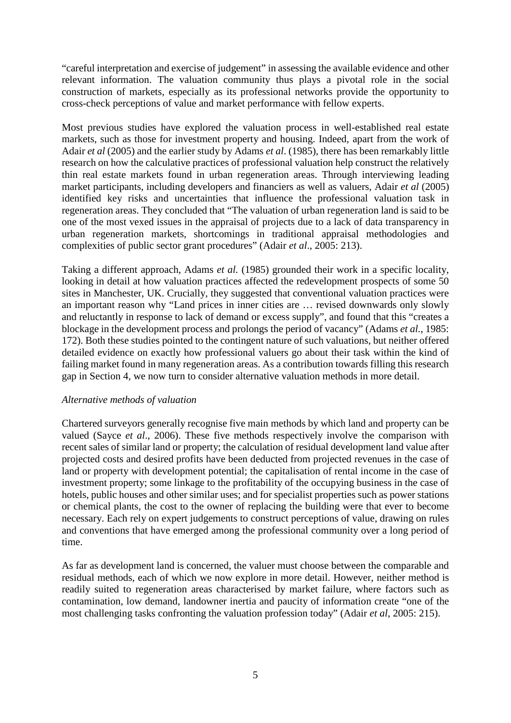"careful interpretation and exercise of judgement" in assessing the available evidence and other relevant information. The valuation community thus plays a pivotal role in the social construction of markets, especially as its professional networks provide the opportunity to cross-check perceptions of value and market performance with fellow experts.

Most previous studies have explored the valuation process in well-established real estate markets, such as those for investment property and housing. Indeed, apart from the work of Adair *et al* (2005) and the earlier study by Adams *et al*. (1985), there has been remarkably little research on how the calculative practices of professional valuation help construct the relatively thin real estate markets found in urban regeneration areas. Through interviewing leading market participants, including developers and financiers as well as valuers, Adair *et al* (2005) identified key risks and uncertainties that influence the professional valuation task in regeneration areas. They concluded that "The valuation of urban regeneration land is said to be one of the most vexed issues in the appraisal of projects due to a lack of data transparency in urban regeneration markets, shortcomings in traditional appraisal methodologies and complexities of public sector grant procedures" (Adair *et al*., 2005: 213).

Taking a different approach, Adams *et al.* (1985) grounded their work in a specific locality, looking in detail at how valuation practices affected the redevelopment prospects of some 50 sites in Manchester, UK. Crucially, they suggested that conventional valuation practices were an important reason why "Land prices in inner cities are … revised downwards only slowly and reluctantly in response to lack of demand or excess supply", and found that this "creates a blockage in the development process and prolongs the period of vacancy" (Adams *et al.*, 1985: 172). Both these studies pointed to the contingent nature of such valuations, but neither offered detailed evidence on exactly how professional valuers go about their task within the kind of failing market found in many regeneration areas. As a contribution towards filling this research gap in Section 4, we now turn to consider alternative valuation methods in more detail.

#### *Alternative methods of valuation*

Chartered surveyors generally recognise five main methods by which land and property can be valued (Sayce *et al*., 2006). These five methods respectively involve the comparison with recent sales of similar land or property; the calculation of residual development land value after projected costs and desired profits have been deducted from projected revenues in the case of land or property with development potential; the capitalisation of rental income in the case of investment property; some linkage to the profitability of the occupying business in the case of hotels, public houses and other similar uses; and for specialist properties such as power stations or chemical plants, the cost to the owner of replacing the building were that ever to become necessary. Each rely on expert judgements to construct perceptions of value, drawing on rules and conventions that have emerged among the professional community over a long period of time.

As far as development land is concerned, the valuer must choose between the comparable and residual methods, each of which we now explore in more detail. However, neither method is readily suited to regeneration areas characterised by market failure, where factors such as contamination, low demand, landowner inertia and paucity of information create "one of the most challenging tasks confronting the valuation profession today" (Adair *et al*, 2005: 215).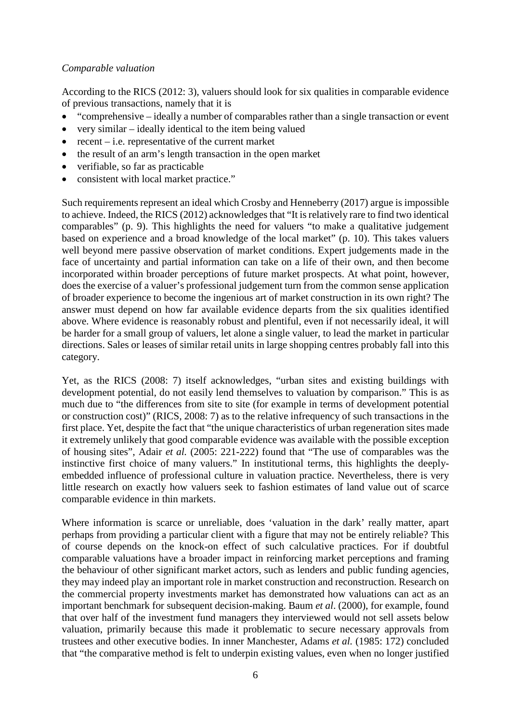### *Comparable valuation*

According to the RICS (2012: 3), valuers should look for six qualities in comparable evidence of previous transactions, namely that it is

- "comprehensive ideally a number of comparables rather than a single transaction or event
- very similar ideally identical to the item being valued
- recent  $-$  i.e. representative of the current market
- the result of an arm's length transaction in the open market
- verifiable, so far as practicable
- consistent with local market practice."

Such requirements represent an ideal which Crosby and Henneberry (2017) argue is impossible to achieve. Indeed, the RICS (2012) acknowledges that "It is relatively rare to find two identical comparables" (p. 9). This highlights the need for valuers "to make a qualitative judgement based on experience and a broad knowledge of the local market" (p. 10). This takes valuers well beyond mere passive observation of market conditions. Expert judgements made in the face of uncertainty and partial information can take on a life of their own, and then become incorporated within broader perceptions of future market prospects. At what point, however, does the exercise of a valuer's professional judgement turn from the common sense application of broader experience to become the ingenious art of market construction in its own right? The answer must depend on how far available evidence departs from the six qualities identified above. Where evidence is reasonably robust and plentiful, even if not necessarily ideal, it will be harder for a small group of valuers, let alone a single valuer, to lead the market in particular directions. Sales or leases of similar retail units in large shopping centres probably fall into this category.

Yet, as the RICS (2008: 7) itself acknowledges, "urban sites and existing buildings with development potential, do not easily lend themselves to valuation by comparison." This is as much due to "the differences from site to site (for example in terms of development potential or construction cost)" (RICS, 2008: 7) as to the relative infrequency of such transactions in the first place. Yet, despite the fact that "the unique characteristics of urban regeneration sites made it extremely unlikely that good comparable evidence was available with the possible exception of housing sites", Adair *et al.* (2005: 221-222) found that "The use of comparables was the instinctive first choice of many valuers." In institutional terms, this highlights the deeplyembedded influence of professional culture in valuation practice. Nevertheless, there is very little research on exactly how valuers seek to fashion estimates of land value out of scarce comparable evidence in thin markets.

Where information is scarce or unreliable, does 'valuation in the dark' really matter, apart perhaps from providing a particular client with a figure that may not be entirely reliable? This of course depends on the knock-on effect of such calculative practices. For if doubtful comparable valuations have a broader impact in reinforcing market perceptions and framing the behaviour of other significant market actors, such as lenders and public funding agencies, they may indeed play an important role in market construction and reconstruction. Research on the commercial property investments market has demonstrated how valuations can act as an important benchmark for subsequent decision-making. Baum *et al*. (2000), for example, found that over half of the investment fund managers they interviewed would not sell assets below valuation, primarily because this made it problematic to secure necessary approvals from trustees and other executive bodies. In inner Manchester, Adams *et al.* (1985: 172) concluded that "the comparative method is felt to underpin existing values, even when no longer justified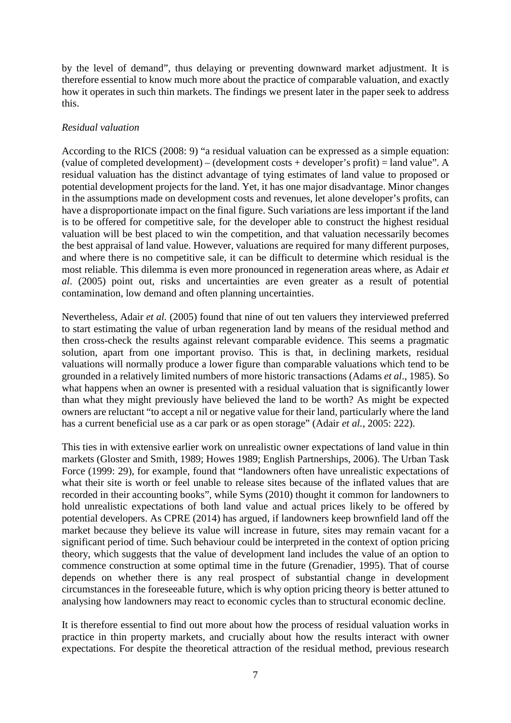by the level of demand", thus delaying or preventing downward market adjustment. It is therefore essential to know much more about the practice of comparable valuation, and exactly how it operates in such thin markets. The findings we present later in the paper seek to address this.

### *Residual valuation*

According to the RICS (2008: 9) "a residual valuation can be expressed as a simple equation: (value of completed development) – (development costs + developer's profit) = land value". A residual valuation has the distinct advantage of tying estimates of land value to proposed or potential development projects for the land. Yet, it has one major disadvantage. Minor changes in the assumptions made on development costs and revenues, let alone developer's profits, can have a disproportionate impact on the final figure. Such variations are less important if the land is to be offered for competitive sale, for the developer able to construct the highest residual valuation will be best placed to win the competition, and that valuation necessarily becomes the best appraisal of land value. However, valuations are required for many different purposes, and where there is no competitive sale, it can be difficult to determine which residual is the most reliable. This dilemma is even more pronounced in regeneration areas where, as Adair *et al*. (2005) point out, risks and uncertainties are even greater as a result of potential contamination, low demand and often planning uncertainties.

Nevertheless, Adair *et al.* (2005) found that nine of out ten valuers they interviewed preferred to start estimating the value of urban regeneration land by means of the residual method and then cross-check the results against relevant comparable evidence. This seems a pragmatic solution, apart from one important proviso. This is that, in declining markets, residual valuations will normally produce a lower figure than comparable valuations which tend to be grounded in a relatively limited numbers of more historic transactions (Adams *et al*., 1985). So what happens when an owner is presented with a residual valuation that is significantly lower than what they might previously have believed the land to be worth? As might be expected owners are reluctant "to accept a nil or negative value for their land, particularly where the land has a current beneficial use as a car park or as open storage" (Adair *et al.*, 2005: 222).

This ties in with extensive earlier work on unrealistic owner expectations of land value in thin markets (Gloster and Smith, 1989; Howes 1989; English Partnerships, 2006). The Urban Task Force (1999: 29), for example, found that "landowners often have unrealistic expectations of what their site is worth or feel unable to release sites because of the inflated values that are recorded in their accounting books", while Syms (2010) thought it common for landowners to hold unrealistic expectations of both land value and actual prices likely to be offered by potential developers. As CPRE (2014) has argued, if landowners keep brownfield land off the market because they believe its value will increase in future, sites may remain vacant for a significant period of time. Such behaviour could be interpreted in the context of option pricing theory, which suggests that the value of development land includes the value of an option to commence construction at some optimal time in the future (Grenadier, 1995). That of course depends on whether there is any real prospect of substantial change in development circumstances in the foreseeable future, which is why option pricing theory is better attuned to analysing how landowners may react to economic cycles than to structural economic decline.

It is therefore essential to find out more about how the process of residual valuation works in practice in thin property markets, and crucially about how the results interact with owner expectations. For despite the theoretical attraction of the residual method, previous research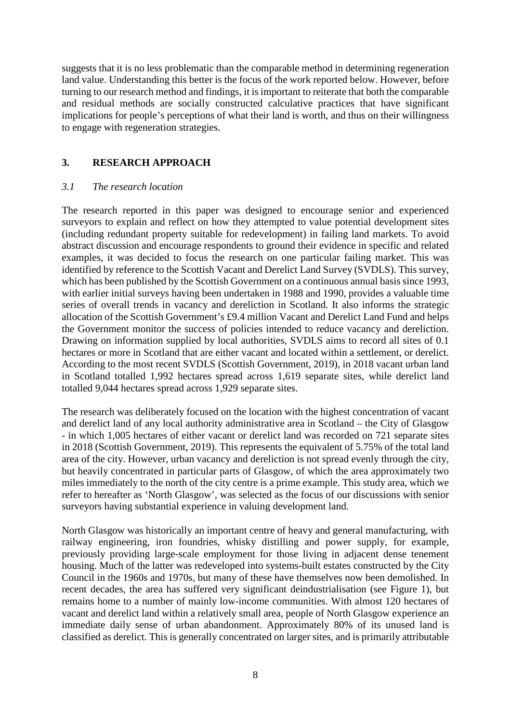suggests that it is no less problematic than the comparable method in determining regeneration land value. Understanding this better is the focus of the work reported below. However, before turning to our research method and findings, it is important to reiterate that both the comparable and residual methods are socially constructed calculative practices that have significant implications for people's perceptions of what their land is worth, and thus on their willingness to engage with regeneration strategies.

### **3. RESEARCH APPROACH**

#### *3.1 The research location*

The research reported in this paper was designed to encourage senior and experienced surveyors to explain and reflect on how they attempted to value potential development sites (including redundant property suitable for redevelopment) in failing land markets. To avoid abstract discussion and encourage respondents to ground their evidence in specific and related examples, it was decided to focus the research on one particular failing market. This was identified by reference to the Scottish Vacant and Derelict Land Survey (SVDLS). This survey, which has been published by the Scottish Government on a continuous annual basis since 1993, with earlier initial surveys having been undertaken in 1988 and 1990, provides a valuable time series of overall trends in vacancy and dereliction in Scotland. It also informs the strategic allocation of the Scottish Government's £9.4 million Vacant and Derelict Land Fund and helps the Government monitor the success of policies intended to reduce vacancy and dereliction. Drawing on information supplied by local authorities, SVDLS aims to record all sites of 0.1 hectares or more in Scotland that are either vacant and located within a settlement, or derelict. According to the most recent SVDLS (Scottish Government, 2019), in 2018 vacant urban land in Scotland totalled 1,992 hectares spread across 1,619 separate sites, while derelict land totalled 9,044 hectares spread across 1,929 separate sites.

The research was deliberately focused on the location with the highest concentration of vacant and derelict land of any local authority administrative area in Scotland – the City of Glasgow - in which 1,005 hectares of either vacant or derelict land was recorded on 721 separate sites in 2018 (Scottish Government, 2019). This represents the equivalent of 5.75% of the total land area of the city. However, urban vacancy and dereliction is not spread evenly through the city, but heavily concentrated in particular parts of Glasgow, of which the area approximately two miles immediately to the north of the city centre is a prime example. This study area, which we refer to hereafter as 'North Glasgow', was selected as the focus of our discussions with senior surveyors having substantial experience in valuing development land.

North Glasgow was historically an important centre of heavy and general manufacturing, with railway engineering, iron foundries, whisky distilling and power supply, for example, previously providing large-scale employment for those living in adjacent dense tenement housing. Much of the latter was redeveloped into systems-built estates constructed by the City Council in the 1960s and 1970s, but many of these have themselves now been demolished. In recent decades, the area has suffered very significant deindustrialisation (see Figure 1), but remains home to a number of mainly low-income communities. With almost 120 hectares of vacant and derelict land within a relatively small area, people of North Glasgow experience an immediate daily sense of urban abandonment. Approximately 80% of its unused land is classified as derelict. This is generally concentrated on larger sites, and is primarily attributable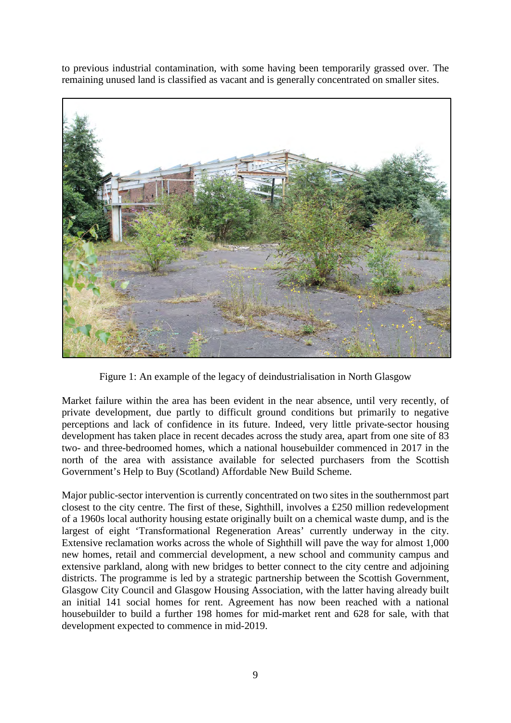to previous industrial contamination, with some having been temporarily grassed over. The remaining unused land is classified as vacant and is generally concentrated on smaller sites.



Figure 1: An example of the legacy of deindustrialisation in North Glasgow

Market failure within the area has been evident in the near absence, until very recently, of private development, due partly to difficult ground conditions but primarily to negative perceptions and lack of confidence in its future. Indeed, very little private-sector housing development has taken place in recent decades across the study area, apart from one site of 83 two- and three-bedroomed homes, which a national housebuilder commenced in 2017 in the north of the area with assistance available for selected purchasers from the Scottish Government's Help to Buy (Scotland) Affordable New Build Scheme.

Major public-sector intervention is currently concentrated on two sites in the southernmost part closest to the city centre. The first of these, Sighthill, involves a £250 million redevelopment of a 1960s local authority housing estate originally built on a chemical waste dump, and is the largest of eight 'Transformational Regeneration Areas' currently underway in the city. Extensive reclamation works across the whole of Sighthill will pave the way for almost 1,000 new homes, retail and commercial development, a new school and community campus and extensive parkland, along with new bridges to better connect to the city centre and adjoining districts. The programme is led by a strategic partnership between the Scottish Government, Glasgow City Council and Glasgow Housing Association, with the latter having already built an initial 141 social homes for rent. Agreement has now been reached with a national housebuilder to build a further 198 homes for mid-market rent and 628 for sale, with that development expected to commence in mid-2019.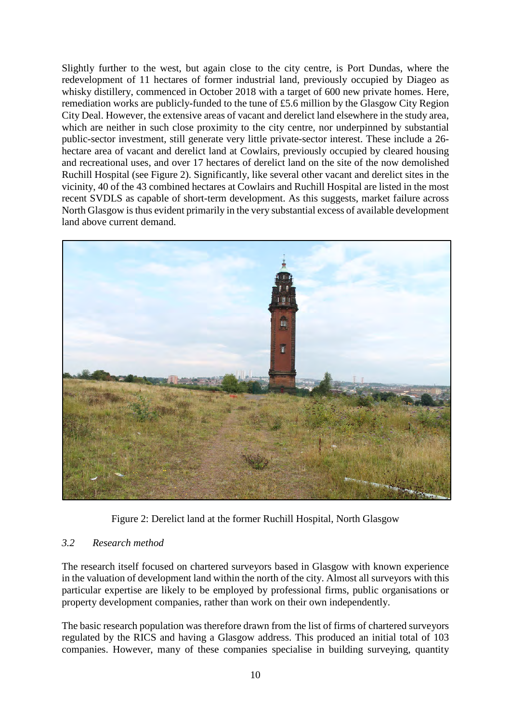Slightly further to the west, but again close to the city centre, is Port Dundas, where the redevelopment of 11 hectares of former industrial land, previously occupied by Diageo as whisky distillery, commenced in October 2018 with a target of 600 new private homes. Here, remediation works are publicly-funded to the tune of £5.6 million by the Glasgow City Region City Deal. However, the extensive areas of vacant and derelict land elsewhere in the study area, which are neither in such close proximity to the city centre, nor underpinned by substantial public-sector investment, still generate very little private-sector interest. These include a 26 hectare area of vacant and derelict land at Cowlairs, previously occupied by cleared housing and recreational uses, and over 17 hectares of derelict land on the site of the now demolished Ruchill Hospital (see Figure 2). Significantly, like several other vacant and derelict sites in the vicinity, 40 of the 43 combined hectares at Cowlairs and Ruchill Hospital are listed in the most recent SVDLS as capable of short-term development. As this suggests, market failure across North Glasgow is thus evident primarily in the very substantial excess of available development land above current demand.



Figure 2: Derelict land at the former Ruchill Hospital, North Glasgow

# *3.2 Research method*

The research itself focused on chartered surveyors based in Glasgow with known experience in the valuation of development land within the north of the city. Almost all surveyors with this particular expertise are likely to be employed by professional firms, public organisations or property development companies, rather than work on their own independently.

The basic research population was therefore drawn from the list of firms of chartered surveyors regulated by the RICS and having a Glasgow address. This produced an initial total of 103 companies. However, many of these companies specialise in building surveying, quantity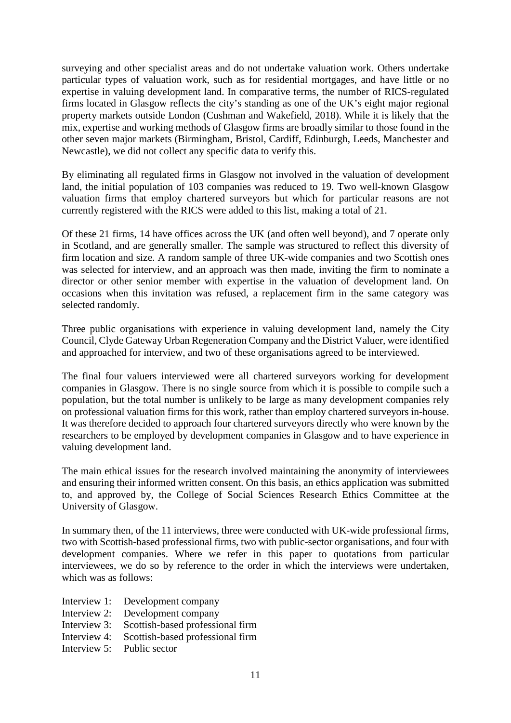surveying and other specialist areas and do not undertake valuation work. Others undertake particular types of valuation work, such as for residential mortgages, and have little or no expertise in valuing development land. In comparative terms, the number of RICS-regulated firms located in Glasgow reflects the city's standing as one of the UK's eight major regional property markets outside London (Cushman and Wakefield, 2018). While it is likely that the mix, expertise and working methods of Glasgow firms are broadly similar to those found in the other seven major markets (Birmingham, Bristol, Cardiff, Edinburgh, Leeds, Manchester and Newcastle), we did not collect any specific data to verify this.

By eliminating all regulated firms in Glasgow not involved in the valuation of development land, the initial population of 103 companies was reduced to 19. Two well-known Glasgow valuation firms that employ chartered surveyors but which for particular reasons are not currently registered with the RICS were added to this list, making a total of 21.

Of these 21 firms, 14 have offices across the UK (and often well beyond), and 7 operate only in Scotland, and are generally smaller. The sample was structured to reflect this diversity of firm location and size. A random sample of three UK-wide companies and two Scottish ones was selected for interview, and an approach was then made, inviting the firm to nominate a director or other senior member with expertise in the valuation of development land. On occasions when this invitation was refused, a replacement firm in the same category was selected randomly.

Three public organisations with experience in valuing development land, namely the City Council, Clyde Gateway Urban Regeneration Company and the District Valuer, were identified and approached for interview, and two of these organisations agreed to be interviewed.

The final four valuers interviewed were all chartered surveyors working for development companies in Glasgow. There is no single source from which it is possible to compile such a population, but the total number is unlikely to be large as many development companies rely on professional valuation firms for this work, rather than employ chartered surveyors in-house. It was therefore decided to approach four chartered surveyors directly who were known by the researchers to be employed by development companies in Glasgow and to have experience in valuing development land.

The main ethical issues for the research involved maintaining the anonymity of interviewees and ensuring their informed written consent. On this basis, an ethics application was submitted to, and approved by, the College of Social Sciences Research Ethics Committee at the University of Glasgow.

In summary then, of the 11 interviews, three were conducted with UK-wide professional firms, two with Scottish-based professional firms, two with public-sector organisations, and four with development companies. Where we refer in this paper to quotations from particular interviewees, we do so by reference to the order in which the interviews were undertaken, which was as follows:

- Interview 1: Development company
- Interview 2: Development company
- Interview 3: Scottish-based professional firm
- Interview 4: Scottish-based professional firm
- Interview 5: Public sector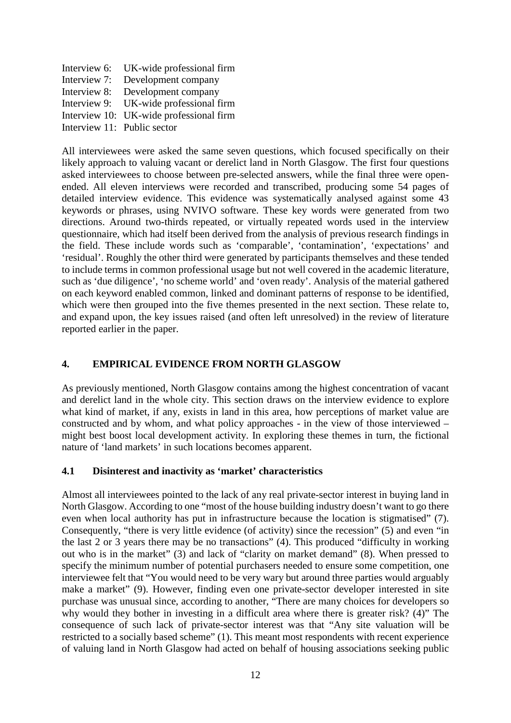Interview 6: UK-wide professional firm Interview 7: Development company Interview 8: Development company Interview 9: UK-wide professional firm Interview 10: UK-wide professional firm Interview 11: Public sector

All interviewees were asked the same seven questions, which focused specifically on their likely approach to valuing vacant or derelict land in North Glasgow. The first four questions asked interviewees to choose between pre-selected answers, while the final three were openended. All eleven interviews were recorded and transcribed, producing some 54 pages of detailed interview evidence. This evidence was systematically analysed against some 43 keywords or phrases, using NVIVO software. These key words were generated from two directions. Around two-thirds repeated, or virtually repeated words used in the interview questionnaire, which had itself been derived from the analysis of previous research findings in the field. These include words such as 'comparable', 'contamination', 'expectations' and 'residual'. Roughly the other third were generated by participants themselves and these tended to include terms in common professional usage but not well covered in the academic literature, such as 'due diligence', 'no scheme world' and 'oven ready'. Analysis of the material gathered on each keyword enabled common, linked and dominant patterns of response to be identified, which were then grouped into the five themes presented in the next section. These relate to, and expand upon, the key issues raised (and often left unresolved) in the review of literature reported earlier in the paper.

# **4. EMPIRICAL EVIDENCE FROM NORTH GLASGOW**

As previously mentioned, North Glasgow contains among the highest concentration of vacant and derelict land in the whole city. This section draws on the interview evidence to explore what kind of market, if any, exists in land in this area, how perceptions of market value are constructed and by whom, and what policy approaches - in the view of those interviewed – might best boost local development activity. In exploring these themes in turn, the fictional nature of 'land markets' in such locations becomes apparent.

# **4.1 Disinterest and inactivity as 'market' characteristics**

Almost all interviewees pointed to the lack of any real private-sector interest in buying land in North Glasgow. According to one "most of the house building industry doesn't want to go there even when local authority has put in infrastructure because the location is stigmatised" (7). Consequently, "there is very little evidence (of activity) since the recession" (5) and even "in the last 2 or 3 years there may be no transactions" (4). This produced "difficulty in working out who is in the market" (3) and lack of "clarity on market demand" (8). When pressed to specify the minimum number of potential purchasers needed to ensure some competition, one interviewee felt that "You would need to be very wary but around three parties would arguably make a market" (9). However, finding even one private-sector developer interested in site purchase was unusual since, according to another, "There are many choices for developers so why would they bother in investing in a difficult area where there is greater risk? (4)" The consequence of such lack of private-sector interest was that "Any site valuation will be restricted to a socially based scheme" (1). This meant most respondents with recent experience of valuing land in North Glasgow had acted on behalf of housing associations seeking public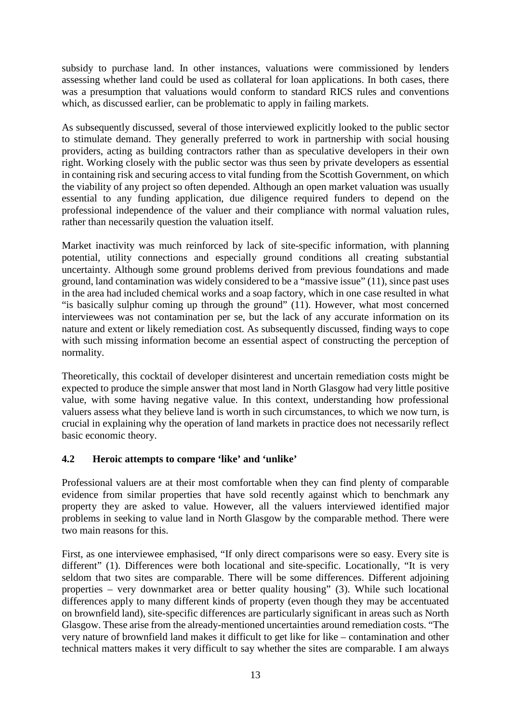subsidy to purchase land. In other instances, valuations were commissioned by lenders assessing whether land could be used as collateral for loan applications. In both cases, there was a presumption that valuations would conform to standard RICS rules and conventions which, as discussed earlier, can be problematic to apply in failing markets.

As subsequently discussed, several of those interviewed explicitly looked to the public sector to stimulate demand. They generally preferred to work in partnership with social housing providers, acting as building contractors rather than as speculative developers in their own right. Working closely with the public sector was thus seen by private developers as essential in containing risk and securing access to vital funding from the Scottish Government, on which the viability of any project so often depended. Although an open market valuation was usually essential to any funding application, due diligence required funders to depend on the professional independence of the valuer and their compliance with normal valuation rules, rather than necessarily question the valuation itself.

Market inactivity was much reinforced by lack of site-specific information, with planning potential, utility connections and especially ground conditions all creating substantial uncertainty. Although some ground problems derived from previous foundations and made ground, land contamination was widely considered to be a "massive issue" (11), since past uses in the area had included chemical works and a soap factory, which in one case resulted in what "is basically sulphur coming up through the ground" (11). However, what most concerned interviewees was not contamination per se, but the lack of any accurate information on its nature and extent or likely remediation cost. As subsequently discussed, finding ways to cope with such missing information become an essential aspect of constructing the perception of normality.

Theoretically, this cocktail of developer disinterest and uncertain remediation costs might be expected to produce the simple answer that most land in North Glasgow had very little positive value, with some having negative value. In this context, understanding how professional valuers assess what they believe land is worth in such circumstances, to which we now turn, is crucial in explaining why the operation of land markets in practice does not necessarily reflect basic economic theory.

# **4.2 Heroic attempts to compare 'like' and 'unlike'**

Professional valuers are at their most comfortable when they can find plenty of comparable evidence from similar properties that have sold recently against which to benchmark any property they are asked to value. However, all the valuers interviewed identified major problems in seeking to value land in North Glasgow by the comparable method. There were two main reasons for this.

First, as one interviewee emphasised, "If only direct comparisons were so easy. Every site is different" (1). Differences were both locational and site-specific. Locationally, "It is very seldom that two sites are comparable. There will be some differences. Different adjoining properties – very downmarket area or better quality housing" (3). While such locational differences apply to many different kinds of property (even though they may be accentuated on brownfield land), site-specific differences are particularly significant in areas such as North Glasgow. These arise from the already-mentioned uncertainties around remediation costs. "The very nature of brownfield land makes it difficult to get like for like – contamination and other technical matters makes it very difficult to say whether the sites are comparable. I am always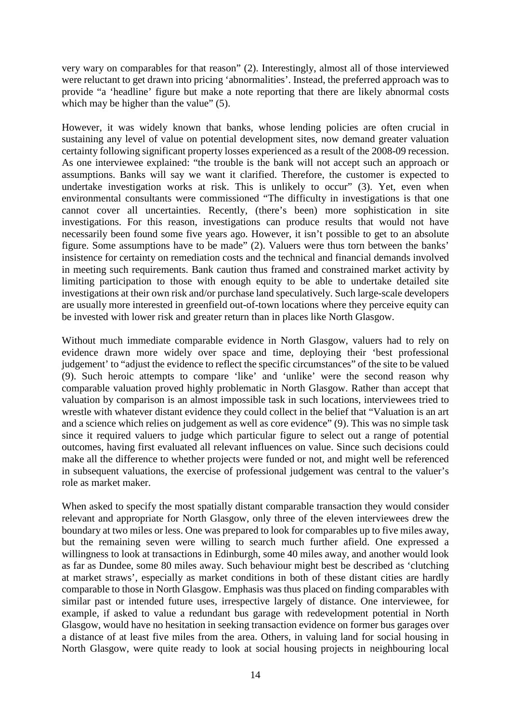very wary on comparables for that reason" (2). Interestingly, almost all of those interviewed were reluctant to get drawn into pricing 'abnormalities'. Instead, the preferred approach was to provide "a 'headline' figure but make a note reporting that there are likely abnormal costs which may be higher than the value" (5).

However, it was widely known that banks, whose lending policies are often crucial in sustaining any level of value on potential development sites, now demand greater valuation certainty following significant property losses experienced as a result of the 2008-09 recession. As one interviewee explained: "the trouble is the bank will not accept such an approach or assumptions. Banks will say we want it clarified. Therefore, the customer is expected to undertake investigation works at risk. This is unlikely to occur" (3). Yet, even when environmental consultants were commissioned "The difficulty in investigations is that one cannot cover all uncertainties. Recently, (there's been) more sophistication in site investigations. For this reason, investigations can produce results that would not have necessarily been found some five years ago. However, it isn't possible to get to an absolute figure. Some assumptions have to be made" (2). Valuers were thus torn between the banks' insistence for certainty on remediation costs and the technical and financial demands involved in meeting such requirements. Bank caution thus framed and constrained market activity by limiting participation to those with enough equity to be able to undertake detailed site investigations at their own risk and/or purchase land speculatively. Such large-scale developers are usually more interested in greenfield out-of-town locations where they perceive equity can be invested with lower risk and greater return than in places like North Glasgow.

Without much immediate comparable evidence in North Glasgow, valuers had to rely on evidence drawn more widely over space and time, deploying their 'best professional judgement' to "adjust the evidence to reflect the specific circumstances" of the site to be valued (9). Such heroic attempts to compare 'like' and 'unlike' were the second reason why comparable valuation proved highly problematic in North Glasgow. Rather than accept that valuation by comparison is an almost impossible task in such locations, interviewees tried to wrestle with whatever distant evidence they could collect in the belief that "Valuation is an art and a science which relies on judgement as well as core evidence" (9). This was no simple task since it required valuers to judge which particular figure to select out a range of potential outcomes, having first evaluated all relevant influences on value. Since such decisions could make all the difference to whether projects were funded or not, and might well be referenced in subsequent valuations, the exercise of professional judgement was central to the valuer's role as market maker.

When asked to specify the most spatially distant comparable transaction they would consider relevant and appropriate for North Glasgow, only three of the eleven interviewees drew the boundary at two miles or less. One was prepared to look for comparables up to five miles away, but the remaining seven were willing to search much further afield. One expressed a willingness to look at transactions in Edinburgh, some 40 miles away, and another would look as far as Dundee, some 80 miles away. Such behaviour might best be described as 'clutching at market straws', especially as market conditions in both of these distant cities are hardly comparable to those in North Glasgow. Emphasis was thus placed on finding comparables with similar past or intended future uses, irrespective largely of distance. One interviewee, for example, if asked to value a redundant bus garage with redevelopment potential in North Glasgow, would have no hesitation in seeking transaction evidence on former bus garages over a distance of at least five miles from the area. Others, in valuing land for social housing in North Glasgow, were quite ready to look at social housing projects in neighbouring local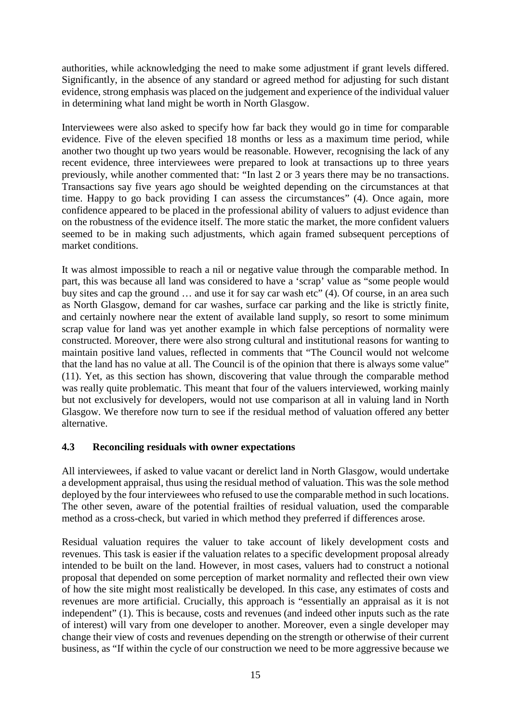authorities, while acknowledging the need to make some adjustment if grant levels differed. Significantly, in the absence of any standard or agreed method for adjusting for such distant evidence, strong emphasis was placed on the judgement and experience of the individual valuer in determining what land might be worth in North Glasgow.

Interviewees were also asked to specify how far back they would go in time for comparable evidence. Five of the eleven specified 18 months or less as a maximum time period, while another two thought up two years would be reasonable. However, recognising the lack of any recent evidence, three interviewees were prepared to look at transactions up to three years previously, while another commented that: "In last 2 or 3 years there may be no transactions. Transactions say five years ago should be weighted depending on the circumstances at that time. Happy to go back providing I can assess the circumstances" (4). Once again, more confidence appeared to be placed in the professional ability of valuers to adjust evidence than on the robustness of the evidence itself. The more static the market, the more confident valuers seemed to be in making such adjustments, which again framed subsequent perceptions of market conditions.

It was almost impossible to reach a nil or negative value through the comparable method. In part, this was because all land was considered to have a 'scrap' value as "some people would buy sites and cap the ground … and use it for say car wash etc" (4). Of course, in an area such as North Glasgow, demand for car washes, surface car parking and the like is strictly finite, and certainly nowhere near the extent of available land supply, so resort to some minimum scrap value for land was yet another example in which false perceptions of normality were constructed. Moreover, there were also strong cultural and institutional reasons for wanting to maintain positive land values, reflected in comments that "The Council would not welcome that the land has no value at all. The Council is of the opinion that there is always some value" (11). Yet, as this section has shown, discovering that value through the comparable method was really quite problematic. This meant that four of the valuers interviewed, working mainly but not exclusively for developers, would not use comparison at all in valuing land in North Glasgow. We therefore now turn to see if the residual method of valuation offered any better alternative.

# **4.3 Reconciling residuals with owner expectations**

All interviewees, if asked to value vacant or derelict land in North Glasgow, would undertake a development appraisal, thus using the residual method of valuation. This was the sole method deployed by the four interviewees who refused to use the comparable method in such locations. The other seven, aware of the potential frailties of residual valuation, used the comparable method as a cross-check, but varied in which method they preferred if differences arose.

Residual valuation requires the valuer to take account of likely development costs and revenues. This task is easier if the valuation relates to a specific development proposal already intended to be built on the land. However, in most cases, valuers had to construct a notional proposal that depended on some perception of market normality and reflected their own view of how the site might most realistically be developed. In this case, any estimates of costs and revenues are more artificial. Crucially, this approach is "essentially an appraisal as it is not independent" (1). This is because, costs and revenues (and indeed other inputs such as the rate of interest) will vary from one developer to another. Moreover, even a single developer may change their view of costs and revenues depending on the strength or otherwise of their current business, as "If within the cycle of our construction we need to be more aggressive because we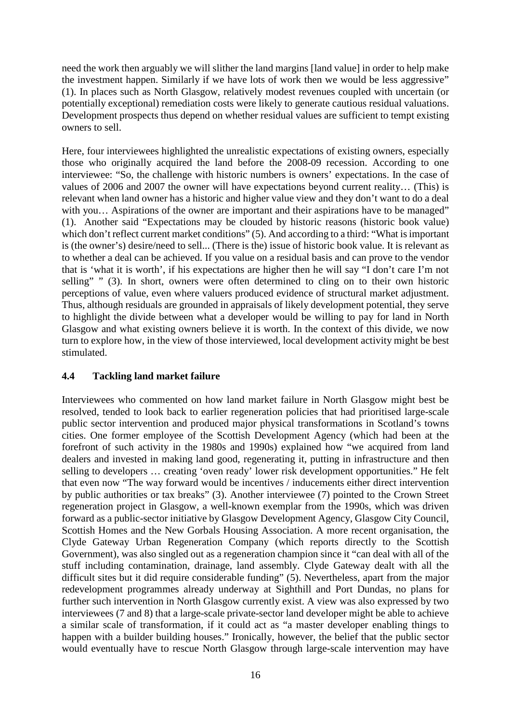need the work then arguably we will slither the land margins [land value] in order to help make the investment happen. Similarly if we have lots of work then we would be less aggressive" (1). In places such as North Glasgow, relatively modest revenues coupled with uncertain (or potentially exceptional) remediation costs were likely to generate cautious residual valuations. Development prospects thus depend on whether residual values are sufficient to tempt existing owners to sell.

Here, four interviewees highlighted the unrealistic expectations of existing owners, especially those who originally acquired the land before the 2008-09 recession. According to one interviewee: "So, the challenge with historic numbers is owners' expectations. In the case of values of 2006 and 2007 the owner will have expectations beyond current reality… (This) is relevant when land owner has a historic and higher value view and they don't want to do a deal with you... Aspirations of the owner are important and their aspirations have to be managed" (1). Another said "Expectations may be clouded by historic reasons (historic book value) which don't reflect current market conditions" (5). And according to a third: "What is important is (the owner's) desire/need to sell... (There is the) issue of historic book value. It is relevant as to whether a deal can be achieved. If you value on a residual basis and can prove to the vendor that is 'what it is worth', if his expectations are higher then he will say "I don't care I'm not selling" " (3). In short, owners were often determined to cling on to their own historic perceptions of value, even where valuers produced evidence of structural market adjustment. Thus, although residuals are grounded in appraisals of likely development potential, they serve to highlight the divide between what a developer would be willing to pay for land in North Glasgow and what existing owners believe it is worth. In the context of this divide, we now turn to explore how, in the view of those interviewed, local development activity might be best stimulated.

# **4.4 Tackling land market failure**

Interviewees who commented on how land market failure in North Glasgow might best be resolved, tended to look back to earlier regeneration policies that had prioritised large-scale public sector intervention and produced major physical transformations in Scotland's towns cities. One former employee of the Scottish Development Agency (which had been at the forefront of such activity in the 1980s and 1990s) explained how "we acquired from land dealers and invested in making land good, regenerating it, putting in infrastructure and then selling to developers … creating 'oven ready' lower risk development opportunities." He felt that even now "The way forward would be incentives / inducements either direct intervention by public authorities or tax breaks" (3). Another interviewee (7) pointed to the Crown Street regeneration project in Glasgow, a well-known exemplar from the 1990s, which was driven forward as a public-sector initiative by Glasgow Development Agency, Glasgow City Council, Scottish Homes and the New Gorbals Housing Association. A more recent organisation, the Clyde Gateway Urban Regeneration Company (which reports directly to the Scottish Government), was also singled out as a regeneration champion since it "can deal with all of the stuff including contamination, drainage, land assembly. Clyde Gateway dealt with all the difficult sites but it did require considerable funding" (5). Nevertheless, apart from the major redevelopment programmes already underway at Sighthill and Port Dundas, no plans for further such intervention in North Glasgow currently exist. A view was also expressed by two interviewees (7 and 8) that a large-scale private-sector land developer might be able to achieve a similar scale of transformation, if it could act as "a master developer enabling things to happen with a builder building houses." Ironically, however, the belief that the public sector would eventually have to rescue North Glasgow through large-scale intervention may have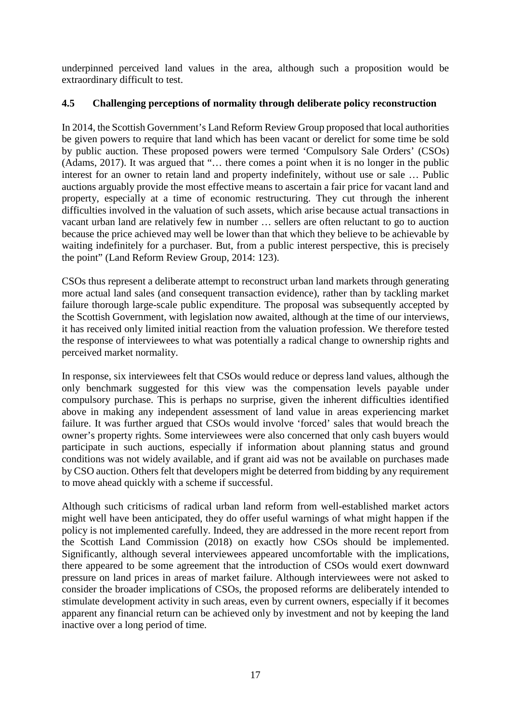underpinned perceived land values in the area, although such a proposition would be extraordinary difficult to test.

### **4.5 Challenging perceptions of normality through deliberate policy reconstruction**

In 2014, the Scottish Government's Land Reform Review Group proposed that local authorities be given powers to require that land which has been vacant or derelict for some time be sold by public auction. These proposed powers were termed 'Compulsory Sale Orders' (CSOs) (Adams, 2017). It was argued that "… there comes a point when it is no longer in the public interest for an owner to retain land and property indefinitely, without use or sale … Public auctions arguably provide the most effective means to ascertain a fair price for vacant land and property, especially at a time of economic restructuring. They cut through the inherent difficulties involved in the valuation of such assets, which arise because actual transactions in vacant urban land are relatively few in number … sellers are often reluctant to go to auction because the price achieved may well be lower than that which they believe to be achievable by waiting indefinitely for a purchaser. But, from a public interest perspective, this is precisely the point" (Land Reform Review Group, 2014: 123).

CSOs thus represent a deliberate attempt to reconstruct urban land markets through generating more actual land sales (and consequent transaction evidence), rather than by tackling market failure thorough large-scale public expenditure. The proposal was subsequently accepted by the Scottish Government, with legislation now awaited, although at the time of our interviews, it has received only limited initial reaction from the valuation profession. We therefore tested the response of interviewees to what was potentially a radical change to ownership rights and perceived market normality.

In response, six interviewees felt that CSOs would reduce or depress land values, although the only benchmark suggested for this view was the compensation levels payable under compulsory purchase. This is perhaps no surprise, given the inherent difficulties identified above in making any independent assessment of land value in areas experiencing market failure. It was further argued that CSOs would involve 'forced' sales that would breach the owner's property rights. Some interviewees were also concerned that only cash buyers would participate in such auctions, especially if information about planning status and ground conditions was not widely available, and if grant aid was not be available on purchases made by CSO auction. Others felt that developers might be deterred from bidding by any requirement to move ahead quickly with a scheme if successful.

Although such criticisms of radical urban land reform from well-established market actors might well have been anticipated, they do offer useful warnings of what might happen if the policy is not implemented carefully. Indeed, they are addressed in the more recent report from the Scottish Land Commission (2018) on exactly how CSOs should be implemented. Significantly, although several interviewees appeared uncomfortable with the implications, there appeared to be some agreement that the introduction of CSOs would exert downward pressure on land prices in areas of market failure. Although interviewees were not asked to consider the broader implications of CSOs, the proposed reforms are deliberately intended to stimulate development activity in such areas, even by current owners, especially if it becomes apparent any financial return can be achieved only by investment and not by keeping the land inactive over a long period of time.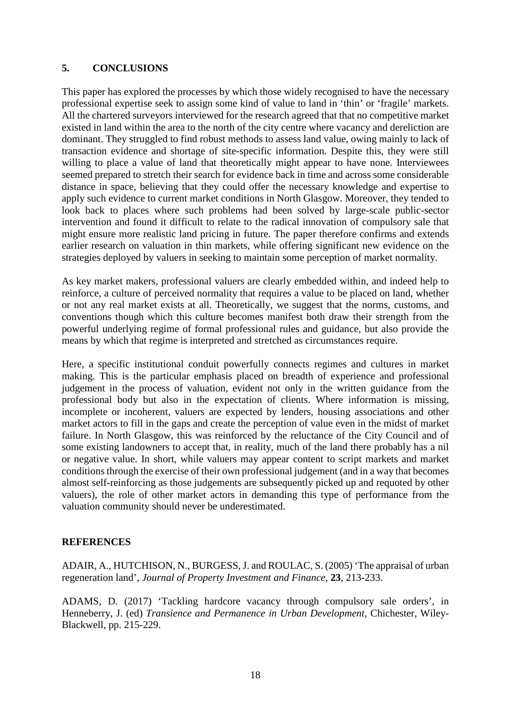### **5. CONCLUSIONS**

This paper has explored the processes by which those widely recognised to have the necessary professional expertise seek to assign some kind of value to land in 'thin' or 'fragile' markets. All the chartered surveyors interviewed for the research agreed that that no competitive market existed in land within the area to the north of the city centre where vacancy and dereliction are dominant. They struggled to find robust methods to assess land value, owing mainly to lack of transaction evidence and shortage of site-specific information. Despite this, they were still willing to place a value of land that theoretically might appear to have none. Interviewees seemed prepared to stretch their search for evidence back in time and across some considerable distance in space, believing that they could offer the necessary knowledge and expertise to apply such evidence to current market conditions in North Glasgow. Moreover, they tended to look back to places where such problems had been solved by large-scale public-sector intervention and found it difficult to relate to the radical innovation of compulsory sale that might ensure more realistic land pricing in future. The paper therefore confirms and extends earlier research on valuation in thin markets, while offering significant new evidence on the strategies deployed by valuers in seeking to maintain some perception of market normality.

As key market makers, professional valuers are clearly embedded within, and indeed help to reinforce, a culture of perceived normality that requires a value to be placed on land, whether or not any real market exists at all. Theoretically, we suggest that the norms, customs, and conventions though which this culture becomes manifest both draw their strength from the powerful underlying regime of formal professional rules and guidance, but also provide the means by which that regime is interpreted and stretched as circumstances require.

Here, a specific institutional conduit powerfully connects regimes and cultures in market making. This is the particular emphasis placed on breadth of experience and professional judgement in the process of valuation, evident not only in the written guidance from the professional body but also in the expectation of clients. Where information is missing, incomplete or incoherent, valuers are expected by lenders, housing associations and other market actors to fill in the gaps and create the perception of value even in the midst of market failure. In North Glasgow, this was reinforced by the reluctance of the City Council and of some existing landowners to accept that, in reality, much of the land there probably has a nil or negative value. In short, while valuers may appear content to script markets and market conditions through the exercise of their own professional judgement (and in a way that becomes almost self-reinforcing as those judgements are subsequently picked up and requoted by other valuers), the role of other market actors in demanding this type of performance from the valuation community should never be underestimated.

#### **REFERENCES**

ADAIR, A., HUTCHISON, N., BURGESS, J. and ROULAC, S. (2005) 'The appraisal of urban regeneration land', *Journal of Property Investment and Finance*, **23**, 213-233.

ADAMS, D. (2017) 'Tackling hardcore vacancy through compulsory sale orders', in Henneberry, J. (ed) *Transience and Permanence in Urban Development*, Chichester, Wiley-Blackwell, pp. 215-229.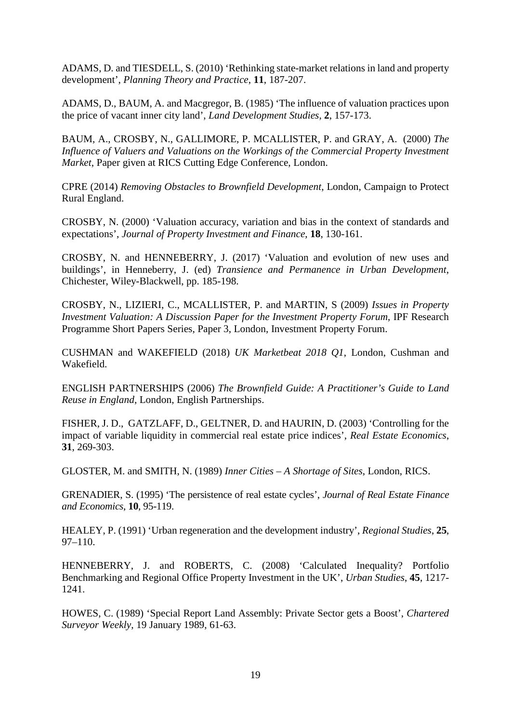ADAMS, D. and TIESDELL, S. (2010) 'Rethinking state-market relations in land and property development', *Planning Theory and Practice*, **11**, 187-207.

ADAMS, D., BAUM, A. and Macgregor, B. (1985) 'The influence of valuation practices upon the price of vacant inner city land', *Land Development Studies*, **2**, 157-173.

BAUM, A., CROSBY, N., GALLIMORE, P. MCALLISTER, P. and GRAY, A. (2000) *The Influence of Valuers and Valuations on the Workings of the Commercial Property Investment Market*, Paper given at RICS Cutting Edge Conference, London.

CPRE (2014) *Removing Obstacles to Brownfield Development*, London, Campaign to Protect Rural England.

CROSBY, N. (2000) 'Valuation accuracy, variation and bias in the context of standards and expectations', *Journal of Property Investment and Finance*, **18**, 130-161.

CROSBY, N. and HENNEBERRY, J. (2017) 'Valuation and evolution of new uses and buildings', in Henneberry, J. (ed) *Transience and Permanence in Urban Development*, Chichester, Wiley-Blackwell, pp. 185-198.

CROSBY, N., LIZIERI, C., MCALLISTER, P. and MARTIN, S (2009) *Issues in Property Investment Valuation: A Discussion Paper for the Investment Property Forum*, IPF Research Programme Short Papers Series, Paper 3, London, Investment Property Forum.

CUSHMAN and WAKEFIELD (2018) *UK Marketbeat 2018 Q1*, London, Cushman and Wakefield.

ENGLISH PARTNERSHIPS (2006) *The Brownfield Guide: A Practitioner's Guide to Land Reuse in England*, London, English Partnerships.

FISHER, J. D., GATZLAFF, D., GELTNER, D. and HAURIN, D. (2003) 'Controlling for the impact of variable liquidity in commercial real estate price indices', *Real Estate Economics*, **31**, 269-303.

GLOSTER, M. and SMITH, N. (1989) *Inner Cities – A Shortage of Sites*, London, RICS.

GRENADIER, S. (1995) 'The persistence of real estate cycles', *Journal of Real Estate Finance and Economics*, **10**, 95-119.

HEALEY, P. (1991) 'Urban regeneration and the development industry', *Regional Studies*, **25**, 97–110.

HENNEBERRY, J. and ROBERTS, C. (2008) 'Calculated Inequality? Portfolio Benchmarking and Regional Office Property Investment in the UK', *Urban Studies*, **45**, 1217- 1241.

HOWES, C. (1989) 'Special Report Land Assembly: Private Sector gets a Boost', *Chartered Surveyor Weekly*, 19 January 1989, 61-63.